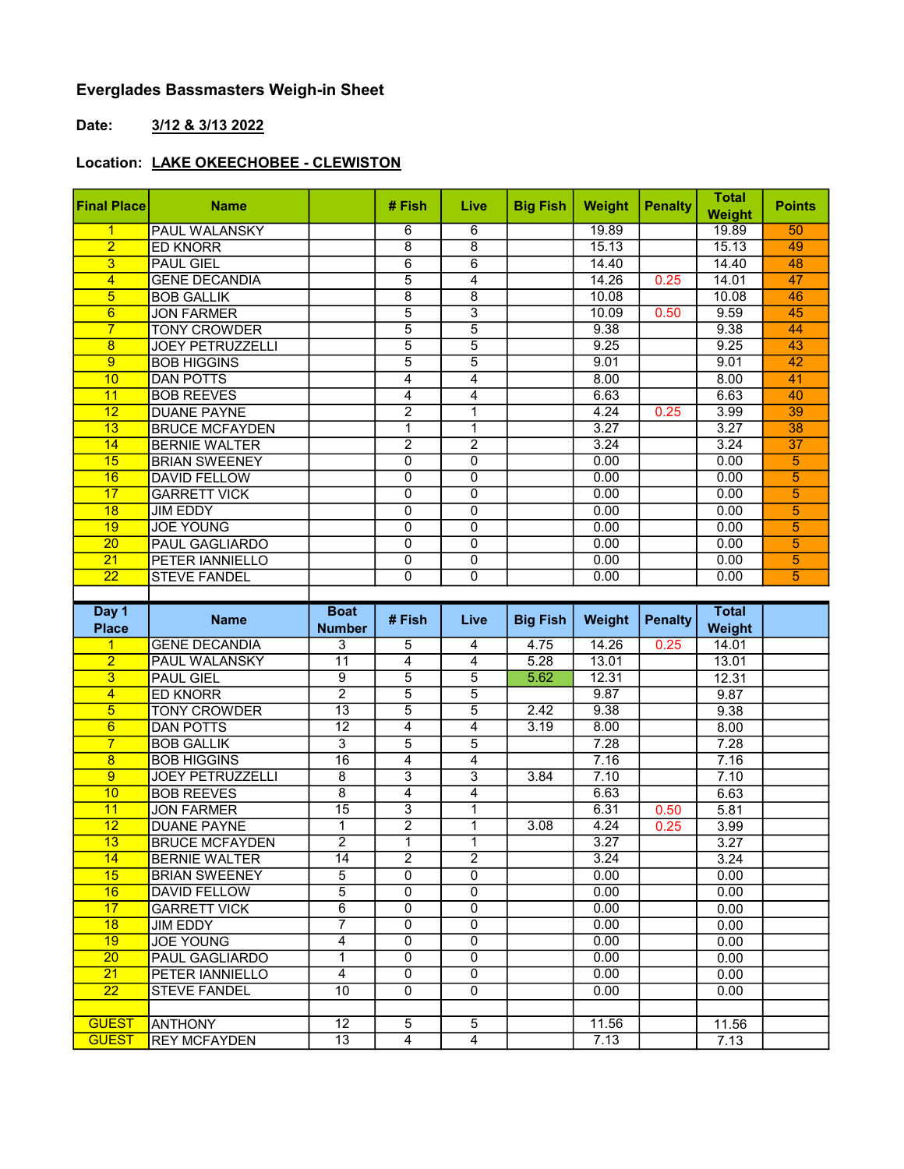## Everglades Bassmasters Weigh-in Sheet

## Date: 3/12 & 3/13 2022

## Location: LAKE OKEECHOBEE - CLEWISTON

| <b>Final Place</b> | <b>Name</b>             | # Fish         | Live | <b>Big Fish</b> | <b>Weight</b> | <b>Penalty</b> | <b>Total</b><br>Weight | <b>Points</b> |
|--------------------|-------------------------|----------------|------|-----------------|---------------|----------------|------------------------|---------------|
| 1                  | <b>PAUL WALANSKY</b>    | 6              | 6    |                 | 19.89         |                | 19.89                  | 50            |
| $\overline{2}$     | <b>ED KNORR</b>         | 8              | 8    |                 | 15.13         |                | 15.13                  | 49            |
| 3                  | <b>PAUL GIEL</b>        | 6              | 6    |                 | 14.40         |                | 14.40                  | 48            |
| 4                  | <b>GENE DECANDIA</b>    | 5              | 4    |                 | 14.26         | 0.25           | 14.01                  | 47            |
| 5                  | <b>BOB GALLIK</b>       | 8              | 8    |                 | 10.08         |                | 10.08                  | 46            |
| 6                  | <b>JON FARMER</b>       | 5              | 3    |                 | 10.09         | 0.50           | 9.59                   | 45            |
| $\overline{7}$     | <b>TONY CROWDER</b>     | 5              | 5    |                 | 9.38          |                | 9.38                   | 44            |
| 8                  | <b>JOEY PETRUZZELLI</b> | 5              | 5    |                 | 9.25          |                | 9.25                   | 43            |
| 9                  | <b>BOB HIGGINS</b>      | 5              | 5    |                 | 9.01          |                | 9.01                   | 42            |
| 10                 | <b>DAN POTTS</b>        | 4              | 4    |                 | 8.00          |                | 8.00                   | 41            |
| 11                 | <b>BOB REEVES</b>       | 4              | 4    |                 | 6.63          |                | 6.63                   | 40            |
| 12                 | <b>DUANE PAYNE</b>      | $\overline{2}$ | 1    |                 | 4.24          | 0.25           | 3.99                   | 39            |
| 13                 | <b>BRUCE MCFAYDEN</b>   | 1              | 1    |                 | 3.27          |                | 3.27                   | 38            |
| 14                 | <b>BERNIE WALTER</b>    | $\overline{2}$ | 2    |                 | 3.24          |                | 3.24                   | 37            |
| 15                 | <b>BRIAN SWEENEY</b>    | 0              | 0    |                 | 0.00          |                | 0.00                   | 5             |
| 16                 | <b>DAVID FELLOW</b>     | 0              | 0    |                 | 0.00          |                | 0.00                   | 5             |
| 17                 | <b>GARRETT VICK</b>     | 0              | 0    |                 | 0.00          |                | 0.00                   | 5             |
| 18                 | <b>JIM EDDY</b>         | 0              | 0    |                 | 0.00          |                | 0.00                   | 5             |
| 19                 | <b>JOE YOUNG</b>        | 0              | 0    |                 | 0.00          |                | 0.00                   | 5             |
| 20                 | <b>PAUL GAGLIARDO</b>   | 0              | 0    |                 | 0.00          |                | 0.00                   | 5             |
| 21                 | PETER IANNIELLO         | 0              | 0    |                 | 0.00          |                | 0.00                   | 5             |
| 22                 | <b>STEVE FANDEL</b>     | 0              | 0    |                 | 0.00          |                | 0.00                   | 5             |
|                    |                         |                |      |                 |               |                |                        |               |

| Day 1<br><b>Place</b> | <b>Name</b>             | <b>Boat</b><br><b>Number</b> | # Fish         | Live           | <b>Big Fish</b> | Weight | <b>Penalty</b> | <b>Total</b><br>Weight |  |
|-----------------------|-------------------------|------------------------------|----------------|----------------|-----------------|--------|----------------|------------------------|--|
|                       | <b>GENE DECANDIA</b>    | $\overline{3}$               | 5              | 4              | 4.75            | 14.26  | 0.25           | 14.01                  |  |
| $\overline{2}$        | PAUL WALANSKY           | $\overline{11}$              | 4              | 4              | 5.28            | 13.01  |                | 13.01                  |  |
| 3                     | <b>PAUL GIEL</b>        | 9                            | 5              | 5              | 5.62            | 12.31  |                | 12.31                  |  |
| 4                     | ED KNORR                | $\overline{2}$               | $\overline{5}$ | $\overline{5}$ |                 | 9.87   |                | 9.87                   |  |
| 5                     | <b>TONY CROWDER</b>     | 13                           | $\overline{5}$ | $\overline{5}$ | 2.42            | 9.38   |                | 9.38                   |  |
| 6                     | <b>DAN POTTS</b>        | $\overline{12}$              | 4              | 4              | 3.19            | 8.00   |                | 8.00                   |  |
| $\overline{7}$        | <b>BOB GALLIK</b>       | 3                            | 5              | $\overline{5}$ |                 | 7.28   |                | 7.28                   |  |
| 8                     | <b>BOB HIGGINS</b>      | 16                           | 4              | 4              |                 | 7.16   |                | 7.16                   |  |
| 9                     | <b>JOEY PETRUZZELLI</b> | $\overline{8}$               | $\overline{3}$ | $\overline{3}$ | 3.84            | 7.10   |                | 7.10                   |  |
| 10                    | <b>BOB REEVES</b>       | $\overline{8}$               | 4              | 4              |                 | 6.63   |                | 6.63                   |  |
| 11                    | <b>JON FARMER</b>       | 15                           | $\overline{3}$ | 1              |                 | 6.31   | 0.50           | 5.81                   |  |
| 12                    | <b>DUANE PAYNE</b>      | 1                            | $\overline{2}$ | 1              | 3.08            | 4.24   | 0.25           | 3.99                   |  |
| 13                    | <b>BRUCE MCFAYDEN</b>   | $\overline{2}$               | 1              | 1              |                 | 3.27   |                | 3.27                   |  |
| 14                    | <b>BERNIE WALTER</b>    | 14                           | $\overline{2}$ | $\overline{2}$ |                 | 3.24   |                | 3.24                   |  |
| 15                    | <b>BRIAN SWEENEY</b>    | 5                            | $\overline{0}$ | 0              |                 | 0.00   |                | 0.00                   |  |
| 16                    | <b>DAVID FELLOW</b>     | 5                            | $\Omega$       | $\mathbf{0}$   |                 | 0.00   |                | 0.00                   |  |
| 17                    | <b>GARRETT VICK</b>     | $\overline{6}$               | $\Omega$       | $\Omega$       |                 | 0.00   |                | 0.00                   |  |
| $\overline{18}$       | <b>JIM EDDY</b>         | 7                            | $\overline{0}$ | $\overline{0}$ |                 | 0.00   |                | 0.00                   |  |
| 19                    | <b>JOE YOUNG</b>        | 4                            | $\Omega$       | $\Omega$       |                 | 0.00   |                | 0.00                   |  |
| 20                    | PAUL GAGLIARDO          | 1                            | $\Omega$       | 0              |                 | 0.00   |                | 0.00                   |  |
| 21                    | PETER IANNIELLO         | 4                            | 0              | 0              |                 | 0.00   |                | 0.00                   |  |
| $\overline{22}$       | <b>STEVE FANDEL</b>     | $\overline{10}$              | $\Omega$       | 0              |                 | 0.00   |                | 0.00                   |  |
|                       |                         |                              |                |                |                 |        |                |                        |  |
| <b>GUEST</b>          | <b>ANTHONY</b>          | 12                           | 5              | 5              |                 | 11.56  |                | 11.56                  |  |
| <b>GUEST</b>          | <b>REY MCFAYDEN</b>     | $\overline{13}$              | 4              | 4              |                 | 7.13   |                | 7.13                   |  |